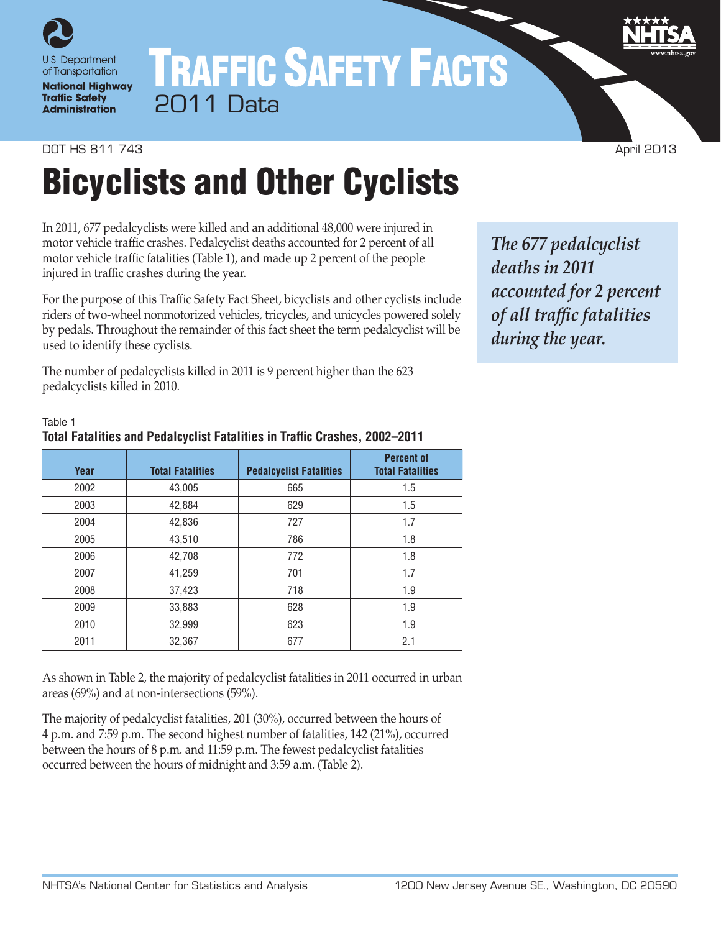

## TRAFFIC SAFETY FACTS 2011 Data

#### **DOT HS 811 743** April 2013

Table 1

# Bicyclists and Other Cyclists

In 2011, 677 pedalcyclists were killed and an additional 48,000 were injured in motor vehicle traffic crashes. Pedalcyclist deaths accounted for 2 percent of all motor vehicle traffic fatalities (Table 1), and made up 2 percent of the people injured in traffic crashes during the year.

For the purpose of this Traffic Safety Fact Sheet, bicyclists and other cyclists include riders of two-wheel nonmotorized vehicles, tricycles, and unicycles powered solely by pedals. Throughout the remainder of this fact sheet the term pedalcyclist will be used to identify these cyclists.

The number of pedalcyclists killed in 2011 is 9 percent higher than the 623 pedalcyclists killed in 2010.

**Total Fatalities and Pedalcyclist Fatalities in Traffic Crashes, 2002–2011**

*The 677 pedalcyclist deaths in 2011 accounted for 2 percent of all traffic fatalities during the year.*

#### **Year Total Fatalities Pedalcyclist Fatalities Percent of Total Fatalities** 2002 43,005 665 1.5 2003 42,884 629 1.5 2004 42,836 727 1.7 2005 43,510 786 1.8 2006 42,708 772 1.8 2007 41,259 701 1.7 2008 37,423 718 1.9 2009 33,883 628 1.9

2010 32,999 623 1.9 2011 32,367 677 2.1

As shown in Table 2, the majority of pedalcyclist fatalities in 2011 occurred in urban areas (69%) and at non-intersections (59%).

The majority of pedalcyclist fatalities, 201 (30%), occurred between the hours of 4 p.m. and 7:59 p.m. The second highest number of fatalities, 142 (21%), occurred between the hours of 8 p.m. and 11:59 p.m. The fewest pedalcyclist fatalities occurred between the hours of midnight and 3:59 a.m. (Table 2).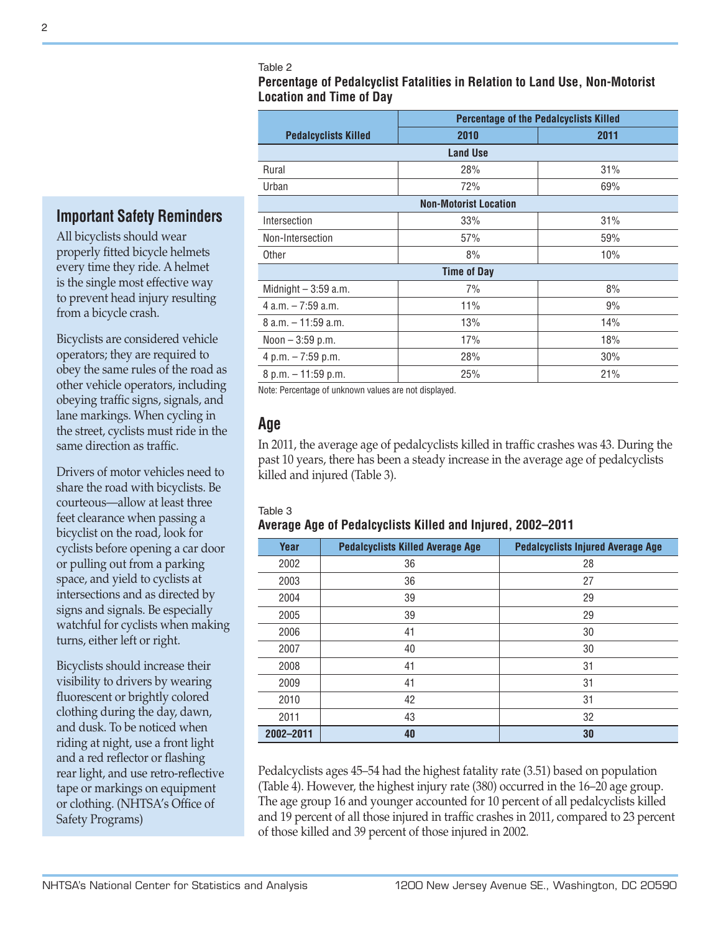Table 2

**Percentage of Pedalcyclist Fatalities in Relation to Land Use, Non-Motorist Location and Time of Day**

| <b>Percentage of the Pedalcyclists Killed</b> |      |  |  |  |  |
|-----------------------------------------------|------|--|--|--|--|
| 2010                                          | 2011 |  |  |  |  |
| <b>Land Use</b>                               |      |  |  |  |  |
| 28%                                           | 31%  |  |  |  |  |
| 72%                                           | 69%  |  |  |  |  |
| <b>Non-Motorist Location</b>                  |      |  |  |  |  |
| 33%                                           | 31%  |  |  |  |  |
| 57%                                           | 59%  |  |  |  |  |
| 8%                                            | 10%  |  |  |  |  |
| <b>Time of Day</b>                            |      |  |  |  |  |
| 7%                                            | 8%   |  |  |  |  |
| 11%                                           | 9%   |  |  |  |  |
| 13%                                           | 14%  |  |  |  |  |
| 17%                                           | 18%  |  |  |  |  |
| 28%                                           | 30%  |  |  |  |  |
| 25%                                           | 21%  |  |  |  |  |
|                                               |      |  |  |  |  |

Note: Percentage of unknown values are not displayed.

## **Age**

In 2011, the average age of pedalcyclists killed in traffic crashes was 43. During the past 10 years, there has been a steady increase in the average age of pedalcyclists killed and injured (Table 3).

#### Table 3

### **Average Age of Pedalcyclists Killed and Injured, 2002–2011**

| Year      | <b>Pedalcyclists Killed Average Age</b> | <b>Pedalcyclists Injured Average Age</b> |
|-----------|-----------------------------------------|------------------------------------------|
| 2002      | 36                                      | 28                                       |
| 2003      | 36                                      | 27                                       |
| 2004      | 39                                      | 29                                       |
| 2005      | 39                                      | 29                                       |
| 2006      | 41                                      | 30                                       |
| 2007      | 40                                      | 30                                       |
| 2008      | 41                                      | 31                                       |
| 2009      | 41                                      | 31                                       |
| 2010      | 42                                      | 31                                       |
| 2011      | 43                                      | 32                                       |
| 2002-2011 | 40                                      | 30                                       |

Pedalcyclists ages 45–54 had the highest fatality rate (3.51) based on population (Table 4). However, the highest injury rate (380) occurred in the 16–20 age group. The age group 16 and younger accounted for 10 percent of all pedalcyclists killed and 19 percent of all those injured in traffic crashes in 2011, compared to 23 percent of those killed and 39 percent of those injured in 2002.

## **Important Safety Reminders**

All bicyclists should wear properly fitted bicycle helmets every time they ride. A helmet is the single most effective way to prevent head injury resulting from a bicycle crash.

Bicyclists are considered vehicle operators; they are required to obey the same rules of the road as other vehicle operators, including obeying traffic signs, signals, and lane markings. When cycling in the street, cyclists must ride in the same direction as traffic.

Drivers of motor vehicles need to share the road with bicyclists. Be courteous—allow at least three feet clearance when passing a bicyclist on the road, look for cyclists before opening a car door or pulling out from a parking space, and yield to cyclists at intersections and as directed by signs and signals. Be especially watchful for cyclists when making turns, either left or right.

Bicyclists should increase their visibility to drivers by wearing fluorescent or brightly colored clothing during the day, dawn, and dusk. To be noticed when riding at night, use a front light and a red reflector or flashing rear light, and use retro-reflective tape or markings on equipment or clothing. (NHTSA's Office of Safety Programs)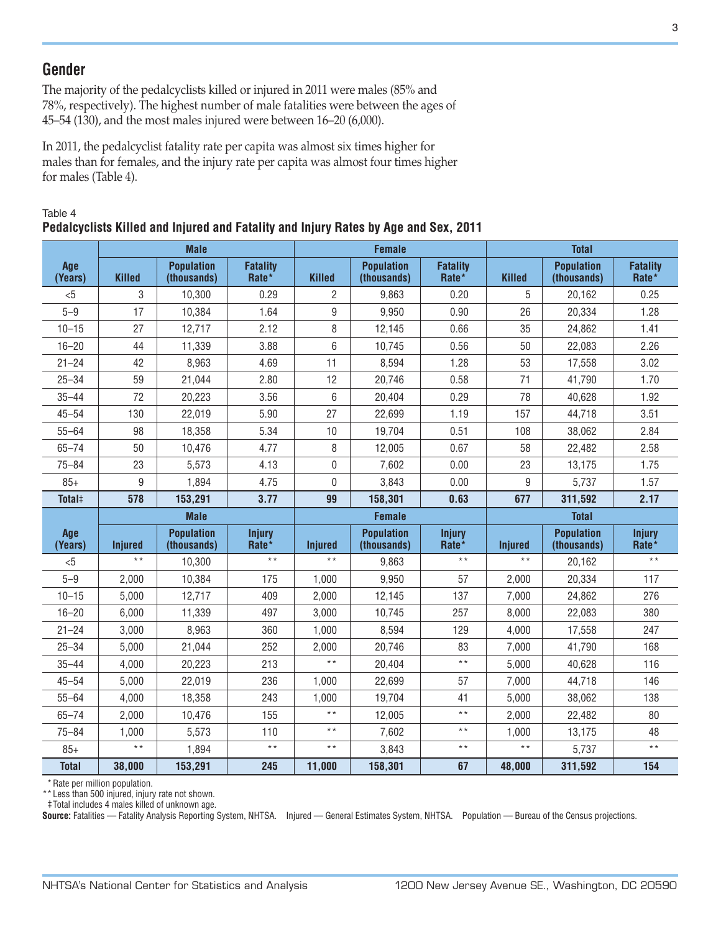## **Gender**

The majority of the pedalcyclists killed or injured in 2011 were males (85% and 78%, respectively). The highest number of male fatalities were between the ages of 45–54 (130), and the most males injured were between 16–20 (6,000).

In 2011, the pedalcyclist fatality rate per capita was almost six times higher for males than for females, and the injury rate per capita was almost four times higher for males (Table 4).

|                    | <b>Male</b>    |                                  |                          | <b>Female</b>   |                                  |                          | <b>Total</b>   |                                  |                          |  |
|--------------------|----------------|----------------------------------|--------------------------|-----------------|----------------------------------|--------------------------|----------------|----------------------------------|--------------------------|--|
|                    |                |                                  |                          |                 |                                  |                          |                |                                  |                          |  |
| Age<br>(Years)     | <b>Killed</b>  | <b>Population</b><br>(thousands) | <b>Fatality</b><br>Rate* | <b>Killed</b>   | <b>Population</b><br>(thousands) | <b>Fatality</b><br>Rate* | <b>Killed</b>  | <b>Population</b><br>(thousands) | <b>Fatality</b><br>Rate* |  |
| &5                 | 3              | 10,300                           | 0.29                     | 2               | 9,863                            | 0.20                     | 5              | 20,162                           | 0.25                     |  |
| $5 - 9$            | 17             | 10,384                           | 1.64                     | 9               | 9,950                            | 0.90                     | 26             | 20,334                           | 1.28                     |  |
| $10 - 15$          | 27             | 12,717                           | 2.12                     | 8               | 12,145                           | 0.66                     | 35             | 24,862                           | 1.41                     |  |
| $16 - 20$          | 44             | 11,339                           | 3.88                     | 6               | 10,745                           | 0.56                     | 50             | 22,083                           | 2.26                     |  |
| $21 - 24$          | 42             | 8,963                            | 4.69                     | 11              | 8,594                            | 1.28                     | 53             | 17,558                           | 3.02                     |  |
| $25 - 34$          | 59             | 21,044                           | 2.80                     | 12              | 20,746                           | 0.58                     | 71             | 41,790                           | 1.70                     |  |
| $35 - 44$          | 72             | 20,223                           | 3.56                     | 6               | 20,404                           | 0.29                     | 78             | 40,628                           | 1.92                     |  |
| $45 - 54$          | 130            | 22,019                           | 5.90                     | 27              | 22,699                           | 1.19                     | 157            | 44,718                           | 3.51                     |  |
| $55 - 64$          | 98             | 18,358                           | 5.34                     | 10              | 19,704                           | 0.51                     | 108            | 38,062                           | 2.84                     |  |
| $65 - 74$          | 50             | 10,476                           | 4.77                     | 8               | 12,005                           | 0.67                     | 58             | 22,482                           | 2.58                     |  |
| $75 - 84$          | 23             | 5,573                            | 4.13                     | 0               | 7,602                            | 0.00                     | 23             | 13,175                           | 1.75                     |  |
| $85+$              | 9              | 1,894                            | 4.75                     | 0               | 3,843                            | 0.00                     | 9              | 5,737                            | 1.57                     |  |
| Total <sup>#</sup> | 578            | 153,291                          | 3.77                     | 99              | 158,301                          | 0.63                     | 677            | 311,592                          | 2.17                     |  |
|                    |                | <b>Male</b>                      |                          |                 | <b>Female</b>                    |                          |                | <b>Total</b>                     |                          |  |
| Age<br>(Years)     | <b>Injured</b> | <b>Population</b><br>(thousands) | <b>Injury</b><br>Rate*   | <b>Injured</b>  | <b>Population</b><br>(thousands) | <b>Injury</b><br>Rate*   | <b>Injured</b> | <b>Population</b><br>(thousands) | <b>Injury</b><br>Rate*   |  |
| &5                 | $* *$          | 10,300                           | $\star\star$             | $\star\star$    | 9,863                            | $\star\star$             | $* *$          | 20,162                           | $\star$ $\star$          |  |
| $5 - 9$            | 2,000          | 10,384                           | 175                      | 1,000           | 9,950                            | 57                       | 2,000          | 20,334                           | 117                      |  |
| $10 - 15$          | 5,000          | 12,717                           | 409                      | 2,000           | 12,145                           | 137                      | 7,000          | 24,862                           | 276                      |  |
| $16 - 20$          | 6,000          | 11,339                           | 497                      | 3,000           | 10,745                           | 257                      | 8,000          | 22,083                           | 380                      |  |
| $21 - 24$          | 3,000          | 8,963                            | 360                      | 1,000           | 8,594                            | 129                      | 4,000          | 17,558                           | 247                      |  |
| $25 - 34$          | 5,000          | 21,044                           | 252                      | 2,000           | 20,746                           | 83                       | 7,000          | 41,790                           | 168                      |  |
| $35 - 44$          | 4,000          | 20,223                           | 213                      | $\star\star$    | 20,404                           | $\star\star$             | 5,000          | 40,628                           | 116                      |  |
| $45 - 54$          | 5,000          | 22,019                           | 236                      | 1,000           | 22,699                           | 57                       | 7,000          | 44,718                           | 146                      |  |
| $55 - 64$          | 4,000          | 18,358                           | 243                      | 1,000           | 19,704                           | 41                       | 5,000          | 38,062                           | 138                      |  |
| $65 - 74$          | 2,000          | 10,476                           | 155                      | $\star \star$   | 12,005                           | $\star \star$            | 2,000          | 22,482                           | 80                       |  |
| $75 - 84$          | 1,000          | 5,573                            | 110                      | $\star$ $\star$ | 7,602                            | $\star$ $\star$          | 1,000          | 13,175                           | 48                       |  |
| $85+$              | $\star \star$  | 1,894                            | $\star$ $\star$          | $\star\star$    | 3,843                            | $\star\star$             | $\star \star$  | 5,737                            | $\star \star$            |  |
| <b>Total</b>       | 38,000         | 153,291                          | 245                      | 11,000          | 158,301                          | 67                       | 48,000         | 311,592                          | 154                      |  |

#### Table 4 **Pedalcyclists Killed and Injured and Fatality and Injury Rates by Age and Sex, 2011**

\*Rate per million population.

\*\* Less than 500 injured, injury rate not shown.

‡ Total includes 4 males killed of unknown age.

**Source:** Fatalities — Fatality Analysis Reporting System, NHTSA. Injured — General Estimates System, NHTSA. Population — Bureau of the Census projections.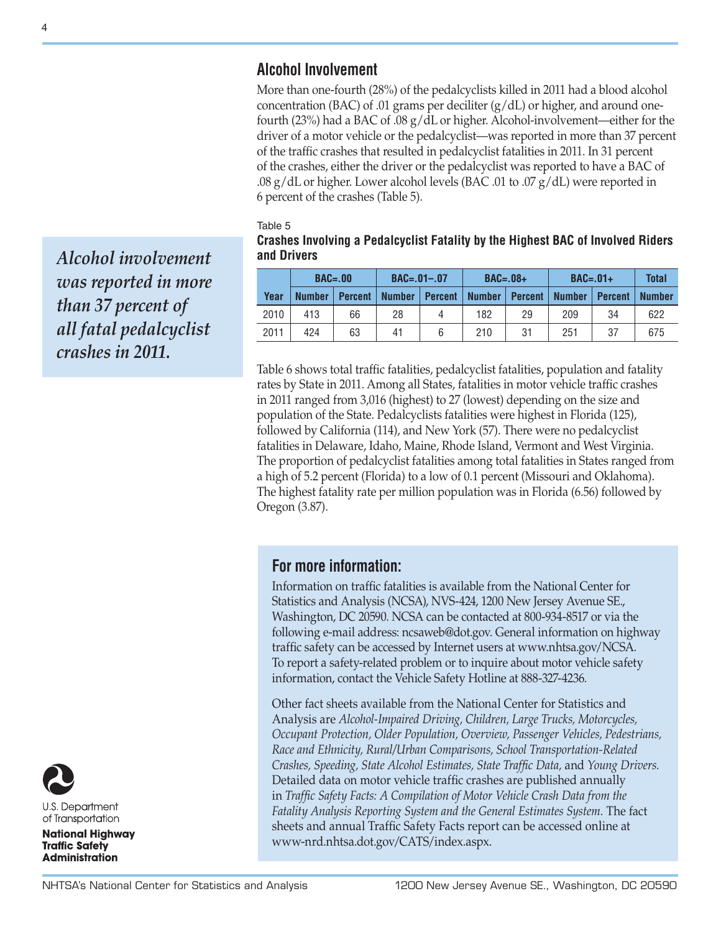## **Alcohol Involvement**

More than one-fourth (28%) of the pedalcyclists killed in 2011 had a blood alcohol concentration (BAC) of .01 grams per deciliter  $(g/dL)$  or higher, and around onefourth (23%) had a BAC of .08 g/dL or higher. Alcohol-involvement—either for the driver of a motor vehicle or the pedalcyclist—was reported in more than 37 percent of the traffic crashes that resulted in pedalcyclist fatalities in 2011. In 31 percent of the crashes, either the driver or the pedalcyclist was reported to have a BAC of .08 g/dL or higher. Lower alcohol levels (BAC .01 to .07 g/dL) were reported in 6 percent of the crashes (Table 5).

Table 5

**Crashes Involving a Pedalcyclist Fatality by the Highest BAC of Involved Riders and Drivers**

|      | $BAC = .00$   |                | $BAC = .01 - .07$ |                | $BAC=.08+$    |                | $BAC=.01+$    |                | <b>Total</b>  |
|------|---------------|----------------|-------------------|----------------|---------------|----------------|---------------|----------------|---------------|
| Year | <b>Number</b> | <b>Percent</b> | <b>Number</b>     | <b>Percent</b> | <b>Number</b> | <b>Percent</b> | <b>Number</b> | <b>Percent</b> | <b>Number</b> |
| 2010 | 413           | 66             | 28                |                | 182           | 29             | 209           | 34             | 622           |
| 2011 | 424           | 63             | 41                | 6              | 210           | 31             | 251           | 37             | 675           |

Table 6 shows total traffic fatalities, pedalcyclist fatalities, population and fatality rates by State in 2011. Among all States, fatalities in motor vehicle traffic crashes in 2011 ranged from 3,016 (highest) to 27 (lowest) depending on the size and population of the State. Pedalcyclists fatalities were highest in Florida (125), followed by California (114), and New York (57). There were no pedalcyclist fatalities in Delaware, Idaho, Maine, Rhode Island, Vermont and West Virginia. The proportion of pedalcyclist fatalities among total fatalities in States ranged from a high of 5.2 percent (Florida) to a low of 0.1 percent (Missouri and Oklahoma). The highest fatality rate per million population was in Florida (6.56) followed by Oregon (3.87).

## **For more information:**

Information on traffic fatalities is available from the National Center for Statistics and Analysis (NCSA), NVS-424, 1200 New Jersey Avenue SE., Washington, DC 20590. NCSA can be contacted at 800-934-8517 or via the following e-mail address: [ncsaweb@dot.gov](mailto:ncsaweb%40dot.gov?subject=RE%3A%202010%20Data%20-%20Bicyclists%20and%20Other%20Cyclists). General information on highway traffic safety can be accessed by Internet users at [www.nhtsa.gov/NCSA](http://www.nhtsa.gov/NCSA). To report a safety-related problem or to inquire about motor vehicle safety information, contact the Vehicle Safety Hotline at 888-327-4236.

Other fact sheets available from the National Center for Statistics and Analysis are *Alcohol-Impaired Driving, Children, Large Trucks, Motorcycles, Occupant Protection, Older Population, Overview, Passenger Vehicles, Pedestrians, Race and Ethnicity, Rural/Urban Comparisons, School Transportation-Related Crashes, Speeding, State Alcohol Estimates, State Traffic Data,* and *Young Drivers.* Detailed data on motor vehicle traffic crashes are published annually in *Traffic Safety Facts: A Compilation of Motor Vehicle Crash Data from the Fatality Analysis Reporting System and the General Estimates System.* The fact sheets and annual Traffic Safety Facts report can be accessed online at <www-nrd.nhtsa.dot.gov/CATS/index.aspx>.

*Alcohol involvement was reported in more than 37 percent of all fatal pedalcyclist crashes in 2011.*



U.S. Department of Transportation

**National Highway Traffic Safety Administration**